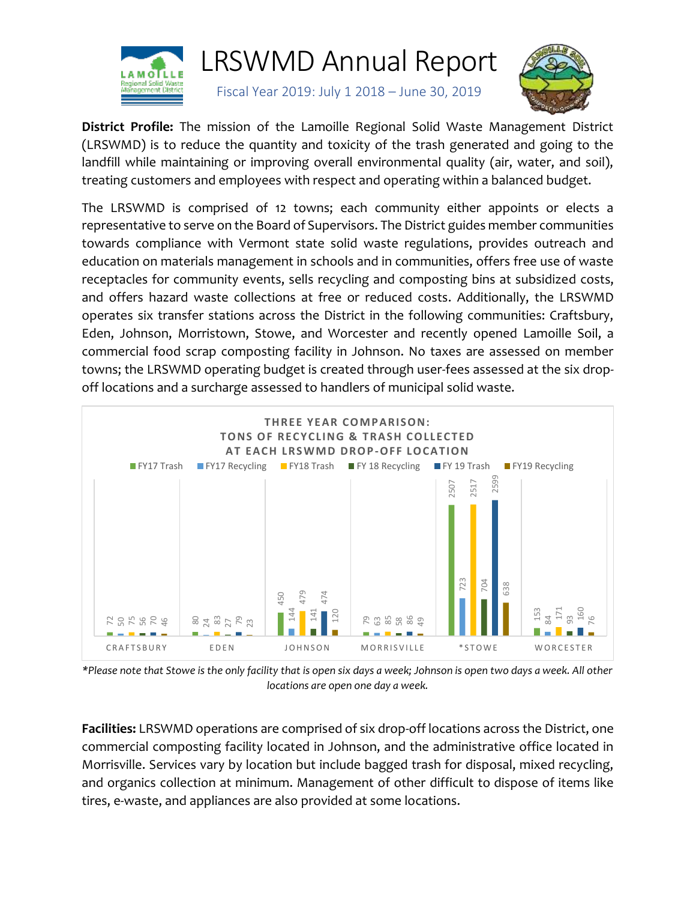

# LRSWMD Annual Report

Fiscal Year 2019: July 1 2018 – June 30, 2019



**District Profile:** The mission of the Lamoille Regional Solid Waste Management District (LRSWMD) is to reduce the quantity and toxicity of the trash generated and going to the landfill while maintaining or improving overall environmental quality (air, water, and soil), treating customers and employees with respect and operating within a balanced budget.

The LRSWMD is comprised of 12 towns; each community either appoints or elects a representative to serve on the Board of Supervisors. The District guides member communities towards compliance with Vermont state solid waste regulations, provides outreach and education on materials management in schools and in communities, offers free use of waste receptacles for community events, sells recycling and composting bins at subsidized costs, and offers hazard waste collections at free or reduced costs. Additionally, the LRSWMD operates six transfer stations across the District in the following communities: Craftsbury, Eden, Johnson, Morristown, Stowe, and Worcester and recently opened Lamoille Soil, a commercial food scrap composting facility in Johnson. No taxes are assessed on member towns; the LRSWMD operating budget is created through user-fees assessed at the six dropoff locations and a surcharge assessed to handlers of municipal solid waste.



*\*Please note that Stowe is the only facility that is open six days a week; Johnson is open two days a week. All other locations are open one day a week.*

**Facilities:** LRSWMD operations are comprised of six drop-off locations across the District, one commercial composting facility located in Johnson, and the administrative office located in Morrisville. Services vary by location but include bagged trash for disposal, mixed recycling, and organics collection at minimum. Management of other difficult to dispose of items like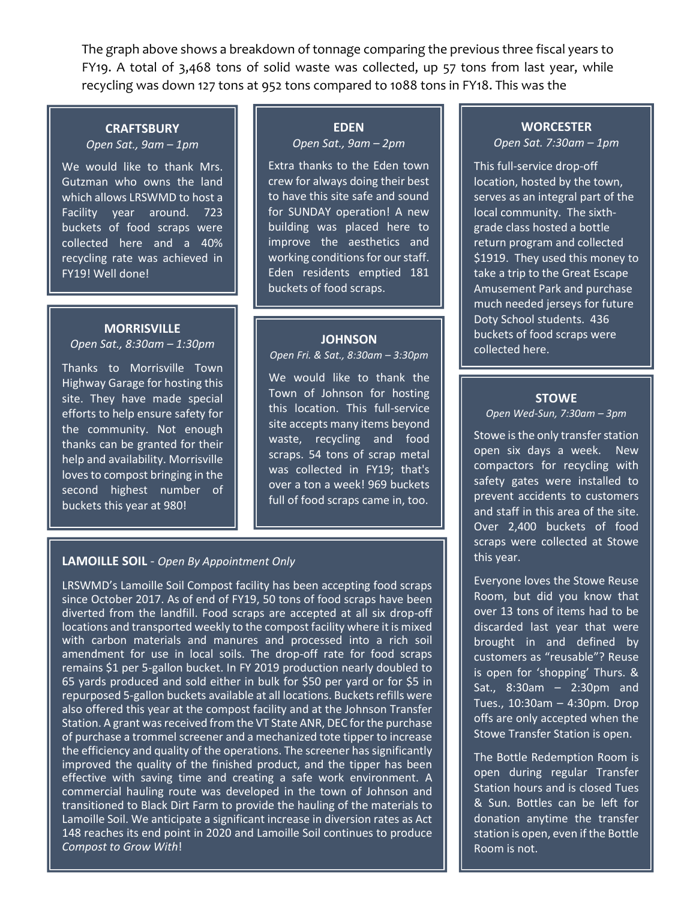The graph above shows a breakdown of tonnage comparing the previous three fiscal years to FY19. A total of 3,468 tons of solid waste was collected, up 57 tons from last year, while recycling was down 127 tons at 952 tons compared to 1088 tons in FY18. This was the

#### **CRAFTSBURY** *Open Sat., 9am – 1pm*

We would like to thank Mrs. Gutzman who owns the land which allows LRSWMD to host a Facility year around. 723 buckets of food scraps were collected here and a 40% recycling rate was achieved in FY19! Well done!

## **MORRISVILLE**

*Open Sat., 8:30am – 1:30pm*

Thanks to Morrisville Town Highway Garage for hosting this site. They have made special efforts to help ensure safety for the community. Not enough thanks can be granted for their help and availability. Morrisville loves to compost bringing in the second highest number of buckets this year at 980!

# **EDEN**

*Open Sat., 9am – 2pm*

Extra thanks to the Eden town crew for always doing their best to have this site safe and sound for SUNDAY operation! A new building was placed here to improve the aesthetics and working conditions for our staff. Eden residents emptied 181 buckets of food scraps.

#### **JOHNSON**

*Open Fri. & Sat., 8:30am – 3:30pm*

We would like to thank the Town of Johnson for hosting this location. This full-service site accepts many items beyond waste, recycling and food scraps. 54 tons of scrap metal was collected in FY19; that's over a ton a week! 969 buckets full of food scraps came in, too.

### **LAMOILLE SOIL** - *Open By Appointment Only*

LRSWMD's Lamoille Soil Compost facility has been accepting food scraps since October 2017. As of end of FY19, 50 tons of food scraps have been diverted from the landfill. Food scraps are accepted at all six drop-off locations and transported weekly to the compost facility where it is mixed with carbon materials and manures and processed into a rich soil amendment for use in local soils. The drop-off rate for food scraps remains \$1 per 5-gallon bucket. In FY 2019 production nearly doubled to 65 yards produced and sold either in bulk for \$50 per yard or for \$5 in repurposed 5-gallon buckets available at all locations. Buckets refills were also offered this year at the compost facility and at the Johnson Transfer Station. A grant was received from the VT State ANR, DEC for the purchase of purchase a trommel screener and a mechanized tote tipper to increase the efficiency and quality of the operations. The screener has significantly improved the quality of the finished product, and the tipper has been effective with saving time and creating a safe work environment. A commercial hauling route was developed in the town of Johnson and transitioned to Black Dirt Farm to provide the hauling of the materials to Lamoille Soil. We anticipate a significant increase in diversion rates as Act 148 reaches its end point in 2020 and Lamoille Soil continues to produce *Compost to Grow With*!

## **WORCESTER**

*Open Sat. 7:30am – 1pm*

This full-service drop-off location, hosted by the town, serves as an integral part of the local community. The sixthgrade class hosted a bottle return program and collected \$1919. They used this money to take a trip to the Great Escape Amusement Park and purchase much needed jerseys for future Doty School students. 436 buckets of food scraps were collected here.

#### **STOWE**

*Open Wed-Sun, 7:30am – 3pm*

Stowe is the only transfer station open six days a week. New compactors for recycling with safety gates were installed to prevent accidents to customers and staff in this area of the site. Over 2,400 buckets of food scraps were collected at Stowe this year.

Everyone loves the Stowe Reuse Room, but did you know that over 13 tons of items had to be discarded last year that were brought in and defined by customers as "reusable"? Reuse is open for 'shopping' Thurs. & Sat., 8:30am – 2:30pm and Tues., 10:30am – 4:30pm. Drop offs are only accepted when the Stowe Transfer Station is open.

The Bottle Redemption Room is open during regular Transfer Station hours and is closed Tues & Sun. Bottles can be left for donation anytime the transfer station is open, even if the Bottle Room is not.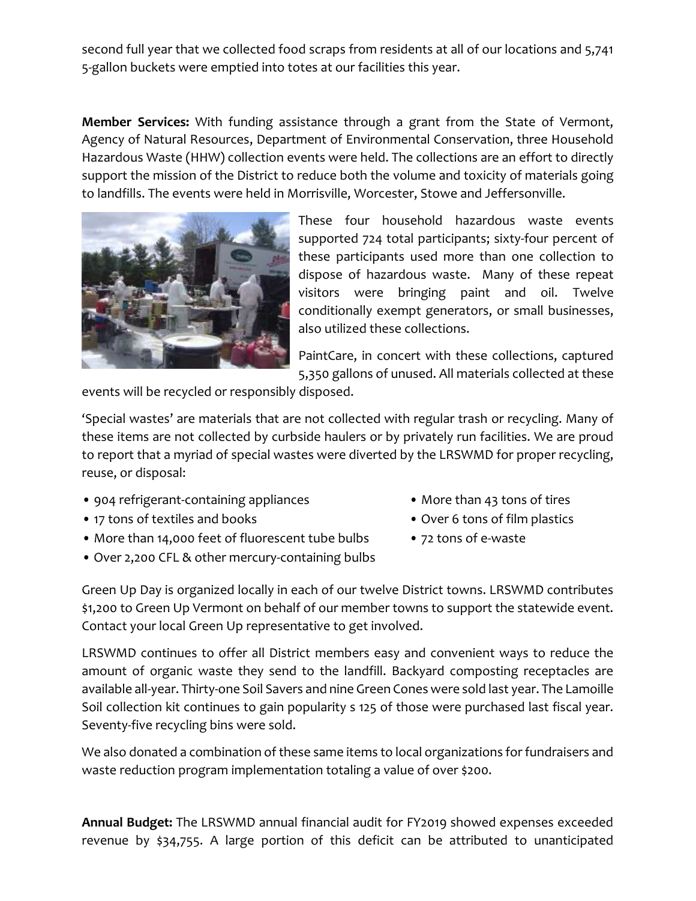second full year that we collected food scraps from residents at all of our locations and 5,741 5-gallon buckets were emptied into totes at our facilities this year.

**Member Services:** With funding assistance through a grant from the State of Vermont, Agency of Natural Resources, Department of Environmental Conservation, three Household Hazardous Waste (HHW) collection events were held. The collections are an effort to directly support the mission of the District to reduce both the volume and toxicity of materials going to landfills. The events were held in Morrisville, Worcester, Stowe and Jeffersonville.



These four household hazardous waste events supported 724 total participants; sixty-four percent of these participants used more than one collection to dispose of hazardous waste. Many of these repeat visitors were bringing paint and oil. Twelve conditionally exempt generators, or small businesses, also utilized these collections.

PaintCare, in concert with these collections, captured 5,350 gallons of unused. All materials collected at these

events will be recycled or responsibly disposed.

'Special wastes' are materials that are not collected with regular trash or recycling. Many of these items are not collected by curbside haulers or by privately run facilities. We are proud to report that a myriad of special wastes were diverted by the LRSWMD for proper recycling, reuse, or disposal:

- 904 refrigerant-containing appliances More than 43 tons of tires
- 17 tons of textiles and books Over 6 tons of film plastics
- More than 14,000 feet of fluorescent tube bulbs 72 tons of e-waste
- Over 2,200 CFL & other mercury-containing bulbs
- 
- 
- 

Green Up Day is organized locally in each of our twelve District towns. LRSWMD contributes \$1,200 to Green Up Vermont on behalf of our member towns to support the statewide event. Contact your local Green Up representative to get involved.

LRSWMD continues to offer all District members easy and convenient ways to reduce the amount of organic waste they send to the landfill. Backyard composting receptacles are available all-year. Thirty-one Soil Savers and nine Green Cones were sold last year. The Lamoille Soil collection kit continues to gain popularity s 125 of those were purchased last fiscal year. Seventy-five recycling bins were sold.

We also donated a combination of these same items to local organizations for fundraisers and waste reduction program implementation totaling a value of over \$200.

**Annual Budget:** The LRSWMD annual financial audit for FY2019 showed expenses exceeded revenue by \$34,755. A large portion of this deficit can be attributed to unanticipated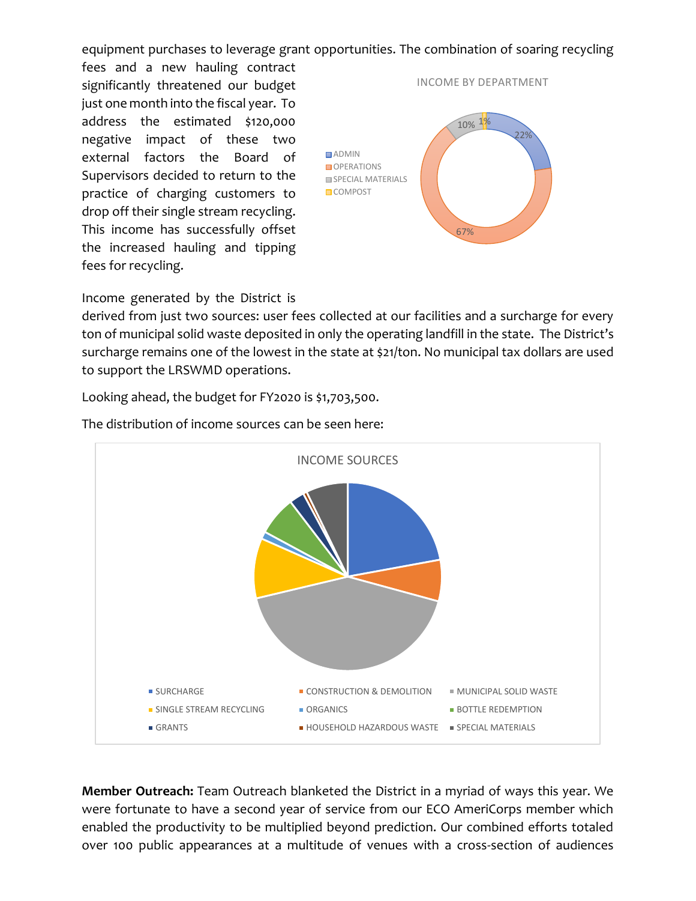equipment purchases to leverage grant opportunities. The combination of soaring recycling

fees and a new hauling contract significantly threatened our budget just one month into the fiscal year. To address the estimated \$120,000 negative impact of these two external factors the Board of Supervisors decided to return to the practice of charging customers to drop off their single stream recycling. This income has successfully offset the increased hauling and tipping fees for recycling.



Income generated by the District is

derived from just two sources: user fees collected at our facilities and a surcharge for every ton of municipal solid waste deposited in only the operating landfill in the state. The District's surcharge remains one of the lowest in the state at \$21/ton. No municipal tax dollars are used to support the LRSWMD operations.

Looking ahead, the budget for FY2020 is \$1,703,500.



The distribution of income sources can be seen here:

**Member Outreach:** Team Outreach blanketed the District in a myriad of ways this year. We were fortunate to have a second year of service from our ECO AmeriCorps member which enabled the productivity to be multiplied beyond prediction. Our combined efforts totaled over 100 public appearances at a multitude of venues with a cross-section of audiences